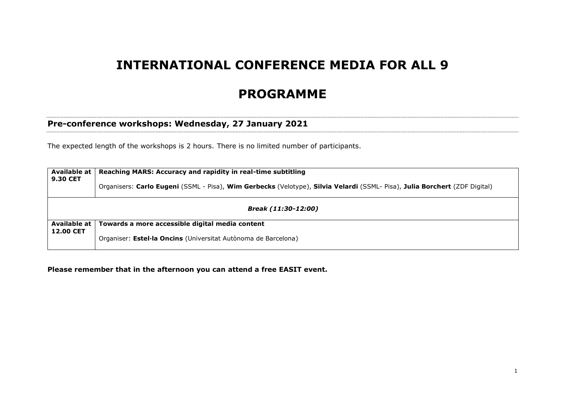# **INTERNATIONAL CONFERENCE MEDIA FOR ALL 9**

# **PROGRAMME**

#### **Pre-conference workshops: Wednesday, 27 January 2021**

The expected length of the workshops is 2 hours. There is no limited number of participants.

| Available at<br><b>9.30 CET</b>  | Reaching MARS: Accuracy and rapidity in real-time subtitling<br>Organisers: Carlo Eugeni (SSML - Pisa), Wim Gerbecks (Velotype), Silvia Velardi (SSML- Pisa), Julia Borchert (ZDF Digital) |  |  |  |  |
|----------------------------------|--------------------------------------------------------------------------------------------------------------------------------------------------------------------------------------------|--|--|--|--|
|                                  | Break (11:30-12:00)                                                                                                                                                                        |  |  |  |  |
| Available at<br><b>12.00 CET</b> | Towards a more accessible digital media content                                                                                                                                            |  |  |  |  |
|                                  | Organiser: Estel·la Oncins (Universitat Autònoma de Barcelona)                                                                                                                             |  |  |  |  |

**Please remember that in the afternoon you can attend a free EASIT event.**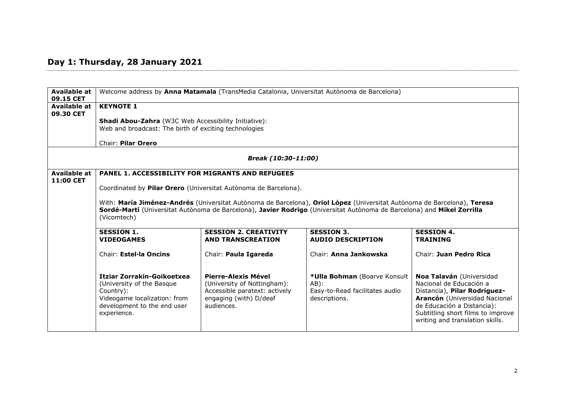## **Day 1: Thursday, 28 January 2021**

| <b>Available at</b><br>09.15 CET |                                                                                                                                                                                                                                                                  | Welcome address by Anna Matamala (TransMedia Catalonia, Universitat Autònoma de Barcelona)                                  |                                                                                           |                                                                                                                                                                                                                            |  |
|----------------------------------|------------------------------------------------------------------------------------------------------------------------------------------------------------------------------------------------------------------------------------------------------------------|-----------------------------------------------------------------------------------------------------------------------------|-------------------------------------------------------------------------------------------|----------------------------------------------------------------------------------------------------------------------------------------------------------------------------------------------------------------------------|--|
| Available at<br>09.30 CET        | <b>KEYNOTE 1</b>                                                                                                                                                                                                                                                 |                                                                                                                             |                                                                                           |                                                                                                                                                                                                                            |  |
|                                  | Shadi Abou-Zahra (W3C Web Accessibility Initiative):<br>Web and broadcast: The birth of exciting technologies                                                                                                                                                    |                                                                                                                             |                                                                                           |                                                                                                                                                                                                                            |  |
|                                  | Chair: Pilar Orero                                                                                                                                                                                                                                               |                                                                                                                             |                                                                                           |                                                                                                                                                                                                                            |  |
|                                  |                                                                                                                                                                                                                                                                  | Break (10:30-11:00)                                                                                                         |                                                                                           |                                                                                                                                                                                                                            |  |
| Available at<br>11:00 CET        | <b>PANEL 1. ACCESSIBILITY FOR MIGRANTS AND REFUGEES</b>                                                                                                                                                                                                          |                                                                                                                             |                                                                                           |                                                                                                                                                                                                                            |  |
|                                  |                                                                                                                                                                                                                                                                  | Coordinated by Pilar Orero (Universitat Autònoma de Barcelona).                                                             |                                                                                           |                                                                                                                                                                                                                            |  |
|                                  | With: María Jiménez-Andrés (Universitat Autònoma de Barcelona), Oriol López (Universitat Autònoma de Barcelona), Teresa<br>Sordé-Martí (Universitat Autònoma de Barcelona), Javier Rodrigo (Universitat Autònoma de Barcelona) and Mikel Zorrilla<br>(Vicomtech) |                                                                                                                             |                                                                                           |                                                                                                                                                                                                                            |  |
|                                  | <b>SESSION 3.</b><br><b>SESSION 1.</b><br><b>SESSION 2. CREATIVITY</b><br><b>SESSION 4.</b><br><b>VIDEOGAMES</b><br><b>AND TRANSCREATION</b><br><b>AUDIO DESCRIPTION</b><br><b>TRAINING</b>                                                                      |                                                                                                                             |                                                                                           |                                                                                                                                                                                                                            |  |
|                                  | Chair: Estel·la Oncins                                                                                                                                                                                                                                           | Chair: Paula Igareda                                                                                                        | Chair: Anna Jankowska                                                                     | Chair: Juan Pedro Rica                                                                                                                                                                                                     |  |
|                                  | Itziar Zorrakin-Goikoetxea<br>(University of the Basque<br>Country):<br>Videogame localization: from<br>development to the end user<br>experience.                                                                                                               | Pierre-Alexis Mével<br>(University of Nottingham):<br>Accessible paratext: actively<br>engaging (with) D/deaf<br>audiences. | *Ulla Bohman (Boarve Konsult<br>$AB$ :<br>Easy-to-Read facilitates audio<br>descriptions. | Noa Talaván (Universidad<br>Nacional de Educación a<br>Distancia), Pilar Rodríguez-<br>Arancón (Universidad Nacional<br>de Educación a Distancia):<br>Subtitling short films to improve<br>writing and translation skills. |  |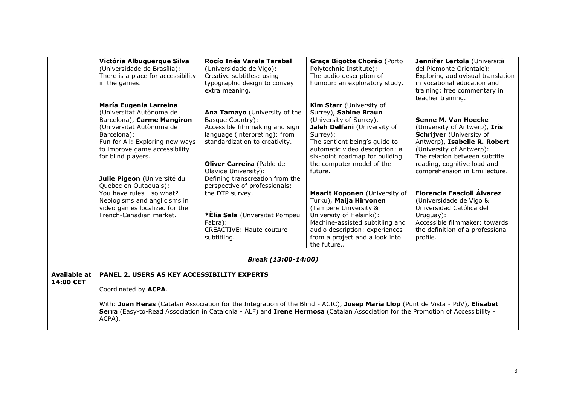| Rocío Inés Varela Tarabal<br>Graça Bigotte Chorão (Porto<br>Jennifer Lertola (Università<br>Victória Albuquerque Silva<br>(Universidade de Brasília):<br>Polytechnic Institute):<br>del Piemonte Orientale):<br>(Universidade de Vigo):<br>There is a place for accessibility<br>Creative subtitles: using<br>The audio description of<br>Exploring audiovisual translation<br>typographic design to convey<br>humour: an exploratory study.<br>in vocational education and<br>in the games.<br>extra meaning.<br>training: free commentary in<br>teacher training.<br>María Eugenia Larreina<br>Kim Starr (University of<br>(Universitat Autònoma de<br>Surrey), Sabine Braun<br>Ana Tamayo (University of the<br>Barcelona), Carme Mangiron<br>Basque Country):<br>(University of Surrey),<br>Senne M. Van Hoecke<br>Accessible filmmaking and sign<br>(Universitat Autònoma de<br>Jaleh Delfani (University of<br>(University of Antwerp), Iris<br>Barcelona):<br>language (interpreting): from<br>Schrijver (University of<br>Surrey):<br>Fun for All: Exploring new ways<br>The sentient being's guide to<br>Antwerp), Isabelle R. Robert<br>standardization to creativity.<br>to improve game accessibility<br>automatic video description: a<br>(University of Antwerp):<br>six-point roadmap for building<br>The relation between subtitle<br>for blind players.<br>Oliver Carreira (Pablo de<br>the computer model of the<br>reading, cognitive load and<br>Olavide University):<br>future.<br>comprehension in Emi lecture.<br>Julie Pigeon (Université du<br>Defining transcreation from the<br>Québec en Outaouais):<br>perspective of professionals:<br>Florencia Fascioli Álvarez<br>You have rules so what?<br>the DTP survey.<br>Maarit Koponen (University of<br>Turku), Maija Hirvonen<br>(Universidade de Vigo &<br>Neologisms and anglicisms in<br>video games localized for the<br>(Tampere University &<br>Universidad Católica del<br>French-Canadian market.<br>*Elia Sala (Unversitat Pompeu<br>University of Helsinki):<br>Uruguay):<br>Fabra):<br>Accessible filmmaker: towards<br>Machine-assisted subtitling and<br><b>CREACTIVE: Haute couture</b><br>audio description: experiences<br>the definition of a professional<br>subtitling.<br>from a project and a look into<br>profile.<br>the future<br>Break (13:00-14:00) |  |  |  |
|----------------------------------------------------------------------------------------------------------------------------------------------------------------------------------------------------------------------------------------------------------------------------------------------------------------------------------------------------------------------------------------------------------------------------------------------------------------------------------------------------------------------------------------------------------------------------------------------------------------------------------------------------------------------------------------------------------------------------------------------------------------------------------------------------------------------------------------------------------------------------------------------------------------------------------------------------------------------------------------------------------------------------------------------------------------------------------------------------------------------------------------------------------------------------------------------------------------------------------------------------------------------------------------------------------------------------------------------------------------------------------------------------------------------------------------------------------------------------------------------------------------------------------------------------------------------------------------------------------------------------------------------------------------------------------------------------------------------------------------------------------------------------------------------------------------------------------------------------------------------------------------------------------------------------------------------------------------------------------------------------------------------------------------------------------------------------------------------------------------------------------------------------------------------------------------------------------------------------------------------------------------------------------------------------------------------------------------------------------|--|--|--|
|                                                                                                                                                                                                                                                                                                                                                                                                                                                                                                                                                                                                                                                                                                                                                                                                                                                                                                                                                                                                                                                                                                                                                                                                                                                                                                                                                                                                                                                                                                                                                                                                                                                                                                                                                                                                                                                                                                                                                                                                                                                                                                                                                                                                                                                                                                                                                          |  |  |  |
|                                                                                                                                                                                                                                                                                                                                                                                                                                                                                                                                                                                                                                                                                                                                                                                                                                                                                                                                                                                                                                                                                                                                                                                                                                                                                                                                                                                                                                                                                                                                                                                                                                                                                                                                                                                                                                                                                                                                                                                                                                                                                                                                                                                                                                                                                                                                                          |  |  |  |
|                                                                                                                                                                                                                                                                                                                                                                                                                                                                                                                                                                                                                                                                                                                                                                                                                                                                                                                                                                                                                                                                                                                                                                                                                                                                                                                                                                                                                                                                                                                                                                                                                                                                                                                                                                                                                                                                                                                                                                                                                                                                                                                                                                                                                                                                                                                                                          |  |  |  |
|                                                                                                                                                                                                                                                                                                                                                                                                                                                                                                                                                                                                                                                                                                                                                                                                                                                                                                                                                                                                                                                                                                                                                                                                                                                                                                                                                                                                                                                                                                                                                                                                                                                                                                                                                                                                                                                                                                                                                                                                                                                                                                                                                                                                                                                                                                                                                          |  |  |  |
|                                                                                                                                                                                                                                                                                                                                                                                                                                                                                                                                                                                                                                                                                                                                                                                                                                                                                                                                                                                                                                                                                                                                                                                                                                                                                                                                                                                                                                                                                                                                                                                                                                                                                                                                                                                                                                                                                                                                                                                                                                                                                                                                                                                                                                                                                                                                                          |  |  |  |
|                                                                                                                                                                                                                                                                                                                                                                                                                                                                                                                                                                                                                                                                                                                                                                                                                                                                                                                                                                                                                                                                                                                                                                                                                                                                                                                                                                                                                                                                                                                                                                                                                                                                                                                                                                                                                                                                                                                                                                                                                                                                                                                                                                                                                                                                                                                                                          |  |  |  |
|                                                                                                                                                                                                                                                                                                                                                                                                                                                                                                                                                                                                                                                                                                                                                                                                                                                                                                                                                                                                                                                                                                                                                                                                                                                                                                                                                                                                                                                                                                                                                                                                                                                                                                                                                                                                                                                                                                                                                                                                                                                                                                                                                                                                                                                                                                                                                          |  |  |  |
|                                                                                                                                                                                                                                                                                                                                                                                                                                                                                                                                                                                                                                                                                                                                                                                                                                                                                                                                                                                                                                                                                                                                                                                                                                                                                                                                                                                                                                                                                                                                                                                                                                                                                                                                                                                                                                                                                                                                                                                                                                                                                                                                                                                                                                                                                                                                                          |  |  |  |
|                                                                                                                                                                                                                                                                                                                                                                                                                                                                                                                                                                                                                                                                                                                                                                                                                                                                                                                                                                                                                                                                                                                                                                                                                                                                                                                                                                                                                                                                                                                                                                                                                                                                                                                                                                                                                                                                                                                                                                                                                                                                                                                                                                                                                                                                                                                                                          |  |  |  |
|                                                                                                                                                                                                                                                                                                                                                                                                                                                                                                                                                                                                                                                                                                                                                                                                                                                                                                                                                                                                                                                                                                                                                                                                                                                                                                                                                                                                                                                                                                                                                                                                                                                                                                                                                                                                                                                                                                                                                                                                                                                                                                                                                                                                                                                                                                                                                          |  |  |  |
|                                                                                                                                                                                                                                                                                                                                                                                                                                                                                                                                                                                                                                                                                                                                                                                                                                                                                                                                                                                                                                                                                                                                                                                                                                                                                                                                                                                                                                                                                                                                                                                                                                                                                                                                                                                                                                                                                                                                                                                                                                                                                                                                                                                                                                                                                                                                                          |  |  |  |
|                                                                                                                                                                                                                                                                                                                                                                                                                                                                                                                                                                                                                                                                                                                                                                                                                                                                                                                                                                                                                                                                                                                                                                                                                                                                                                                                                                                                                                                                                                                                                                                                                                                                                                                                                                                                                                                                                                                                                                                                                                                                                                                                                                                                                                                                                                                                                          |  |  |  |
|                                                                                                                                                                                                                                                                                                                                                                                                                                                                                                                                                                                                                                                                                                                                                                                                                                                                                                                                                                                                                                                                                                                                                                                                                                                                                                                                                                                                                                                                                                                                                                                                                                                                                                                                                                                                                                                                                                                                                                                                                                                                                                                                                                                                                                                                                                                                                          |  |  |  |
|                                                                                                                                                                                                                                                                                                                                                                                                                                                                                                                                                                                                                                                                                                                                                                                                                                                                                                                                                                                                                                                                                                                                                                                                                                                                                                                                                                                                                                                                                                                                                                                                                                                                                                                                                                                                                                                                                                                                                                                                                                                                                                                                                                                                                                                                                                                                                          |  |  |  |
|                                                                                                                                                                                                                                                                                                                                                                                                                                                                                                                                                                                                                                                                                                                                                                                                                                                                                                                                                                                                                                                                                                                                                                                                                                                                                                                                                                                                                                                                                                                                                                                                                                                                                                                                                                                                                                                                                                                                                                                                                                                                                                                                                                                                                                                                                                                                                          |  |  |  |
|                                                                                                                                                                                                                                                                                                                                                                                                                                                                                                                                                                                                                                                                                                                                                                                                                                                                                                                                                                                                                                                                                                                                                                                                                                                                                                                                                                                                                                                                                                                                                                                                                                                                                                                                                                                                                                                                                                                                                                                                                                                                                                                                                                                                                                                                                                                                                          |  |  |  |
|                                                                                                                                                                                                                                                                                                                                                                                                                                                                                                                                                                                                                                                                                                                                                                                                                                                                                                                                                                                                                                                                                                                                                                                                                                                                                                                                                                                                                                                                                                                                                                                                                                                                                                                                                                                                                                                                                                                                                                                                                                                                                                                                                                                                                                                                                                                                                          |  |  |  |
|                                                                                                                                                                                                                                                                                                                                                                                                                                                                                                                                                                                                                                                                                                                                                                                                                                                                                                                                                                                                                                                                                                                                                                                                                                                                                                                                                                                                                                                                                                                                                                                                                                                                                                                                                                                                                                                                                                                                                                                                                                                                                                                                                                                                                                                                                                                                                          |  |  |  |
|                                                                                                                                                                                                                                                                                                                                                                                                                                                                                                                                                                                                                                                                                                                                                                                                                                                                                                                                                                                                                                                                                                                                                                                                                                                                                                                                                                                                                                                                                                                                                                                                                                                                                                                                                                                                                                                                                                                                                                                                                                                                                                                                                                                                                                                                                                                                                          |  |  |  |
|                                                                                                                                                                                                                                                                                                                                                                                                                                                                                                                                                                                                                                                                                                                                                                                                                                                                                                                                                                                                                                                                                                                                                                                                                                                                                                                                                                                                                                                                                                                                                                                                                                                                                                                                                                                                                                                                                                                                                                                                                                                                                                                                                                                                                                                                                                                                                          |  |  |  |
|                                                                                                                                                                                                                                                                                                                                                                                                                                                                                                                                                                                                                                                                                                                                                                                                                                                                                                                                                                                                                                                                                                                                                                                                                                                                                                                                                                                                                                                                                                                                                                                                                                                                                                                                                                                                                                                                                                                                                                                                                                                                                                                                                                                                                                                                                                                                                          |  |  |  |
|                                                                                                                                                                                                                                                                                                                                                                                                                                                                                                                                                                                                                                                                                                                                                                                                                                                                                                                                                                                                                                                                                                                                                                                                                                                                                                                                                                                                                                                                                                                                                                                                                                                                                                                                                                                                                                                                                                                                                                                                                                                                                                                                                                                                                                                                                                                                                          |  |  |  |
|                                                                                                                                                                                                                                                                                                                                                                                                                                                                                                                                                                                                                                                                                                                                                                                                                                                                                                                                                                                                                                                                                                                                                                                                                                                                                                                                                                                                                                                                                                                                                                                                                                                                                                                                                                                                                                                                                                                                                                                                                                                                                                                                                                                                                                                                                                                                                          |  |  |  |
|                                                                                                                                                                                                                                                                                                                                                                                                                                                                                                                                                                                                                                                                                                                                                                                                                                                                                                                                                                                                                                                                                                                                                                                                                                                                                                                                                                                                                                                                                                                                                                                                                                                                                                                                                                                                                                                                                                                                                                                                                                                                                                                                                                                                                                                                                                                                                          |  |  |  |
|                                                                                                                                                                                                                                                                                                                                                                                                                                                                                                                                                                                                                                                                                                                                                                                                                                                                                                                                                                                                                                                                                                                                                                                                                                                                                                                                                                                                                                                                                                                                                                                                                                                                                                                                                                                                                                                                                                                                                                                                                                                                                                                                                                                                                                                                                                                                                          |  |  |  |
|                                                                                                                                                                                                                                                                                                                                                                                                                                                                                                                                                                                                                                                                                                                                                                                                                                                                                                                                                                                                                                                                                                                                                                                                                                                                                                                                                                                                                                                                                                                                                                                                                                                                                                                                                                                                                                                                                                                                                                                                                                                                                                                                                                                                                                                                                                                                                          |  |  |  |
|                                                                                                                                                                                                                                                                                                                                                                                                                                                                                                                                                                                                                                                                                                                                                                                                                                                                                                                                                                                                                                                                                                                                                                                                                                                                                                                                                                                                                                                                                                                                                                                                                                                                                                                                                                                                                                                                                                                                                                                                                                                                                                                                                                                                                                                                                                                                                          |  |  |  |
|                                                                                                                                                                                                                                                                                                                                                                                                                                                                                                                                                                                                                                                                                                                                                                                                                                                                                                                                                                                                                                                                                                                                                                                                                                                                                                                                                                                                                                                                                                                                                                                                                                                                                                                                                                                                                                                                                                                                                                                                                                                                                                                                                                                                                                                                                                                                                          |  |  |  |
|                                                                                                                                                                                                                                                                                                                                                                                                                                                                                                                                                                                                                                                                                                                                                                                                                                                                                                                                                                                                                                                                                                                                                                                                                                                                                                                                                                                                                                                                                                                                                                                                                                                                                                                                                                                                                                                                                                                                                                                                                                                                                                                                                                                                                                                                                                                                                          |  |  |  |
| Available at<br>PANEL 2. USERS AS KEY ACCESSIBILITY EXPERTS                                                                                                                                                                                                                                                                                                                                                                                                                                                                                                                                                                                                                                                                                                                                                                                                                                                                                                                                                                                                                                                                                                                                                                                                                                                                                                                                                                                                                                                                                                                                                                                                                                                                                                                                                                                                                                                                                                                                                                                                                                                                                                                                                                                                                                                                                              |  |  |  |
| 14:00 CET                                                                                                                                                                                                                                                                                                                                                                                                                                                                                                                                                                                                                                                                                                                                                                                                                                                                                                                                                                                                                                                                                                                                                                                                                                                                                                                                                                                                                                                                                                                                                                                                                                                                                                                                                                                                                                                                                                                                                                                                                                                                                                                                                                                                                                                                                                                                                |  |  |  |
| Coordinated by ACPA.                                                                                                                                                                                                                                                                                                                                                                                                                                                                                                                                                                                                                                                                                                                                                                                                                                                                                                                                                                                                                                                                                                                                                                                                                                                                                                                                                                                                                                                                                                                                                                                                                                                                                                                                                                                                                                                                                                                                                                                                                                                                                                                                                                                                                                                                                                                                     |  |  |  |
|                                                                                                                                                                                                                                                                                                                                                                                                                                                                                                                                                                                                                                                                                                                                                                                                                                                                                                                                                                                                                                                                                                                                                                                                                                                                                                                                                                                                                                                                                                                                                                                                                                                                                                                                                                                                                                                                                                                                                                                                                                                                                                                                                                                                                                                                                                                                                          |  |  |  |
| With: Joan Heras (Catalan Association for the Integration of the Blind - ACIC), Josep Maria Llop (Punt de Vista - PdV), Elisabet                                                                                                                                                                                                                                                                                                                                                                                                                                                                                                                                                                                                                                                                                                                                                                                                                                                                                                                                                                                                                                                                                                                                                                                                                                                                                                                                                                                                                                                                                                                                                                                                                                                                                                                                                                                                                                                                                                                                                                                                                                                                                                                                                                                                                         |  |  |  |
| Serra (Easy-to-Read Association in Catalonia - ALF) and Irene Hermosa (Catalan Association for the Promotion of Accessibility -                                                                                                                                                                                                                                                                                                                                                                                                                                                                                                                                                                                                                                                                                                                                                                                                                                                                                                                                                                                                                                                                                                                                                                                                                                                                                                                                                                                                                                                                                                                                                                                                                                                                                                                                                                                                                                                                                                                                                                                                                                                                                                                                                                                                                          |  |  |  |
| ACPA).                                                                                                                                                                                                                                                                                                                                                                                                                                                                                                                                                                                                                                                                                                                                                                                                                                                                                                                                                                                                                                                                                                                                                                                                                                                                                                                                                                                                                                                                                                                                                                                                                                                                                                                                                                                                                                                                                                                                                                                                                                                                                                                                                                                                                                                                                                                                                   |  |  |  |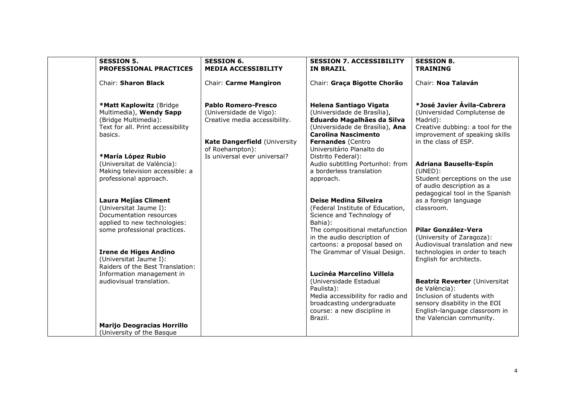| <b>SESSION 5.</b><br><b>PROFESSIONAL PRACTICES</b>                                                                         | <b>SESSION 6.</b><br><b>MEDIA ACCESSIBILITY</b>                                        | <b>SESSION 7. ACCESSIBILITY</b><br><b>IN BRAZIL</b>                                                                                                                            | <b>SESSION 8.</b><br><b>TRAINING</b>                                                                                                                                              |
|----------------------------------------------------------------------------------------------------------------------------|----------------------------------------------------------------------------------------|--------------------------------------------------------------------------------------------------------------------------------------------------------------------------------|-----------------------------------------------------------------------------------------------------------------------------------------------------------------------------------|
| Chair: Sharon Black                                                                                                        | Chair: Carme Mangiron                                                                  | Chair: Graça Bigotte Chorão                                                                                                                                                    | Chair: Noa Talaván                                                                                                                                                                |
| *Matt Kaplowitz (Bridge<br>Multimedia), Wendy Sapp<br>(Bridge Multimedia):<br>Text for all. Print accessibility<br>basics. | <b>Pablo Romero-Fresco</b><br>(Universidade de Vigo):<br>Creative media accessibility. | <b>Helena Santiago Vigata</b><br>(Universidade de Brasília),<br>Eduardo Magalhães da Silva<br>(Universidade de Brasília), Ana<br><b>Carolina Nascimento</b>                    | *José Javier Ávila-Cabrera<br>(Universidad Complutense de<br>Madrid):<br>Creative dubbing: a tool for the<br>improvement of speaking skills                                       |
| *María López Rubio                                                                                                         | Kate Dangerfield (University<br>of Roehampton):<br>Is universal ever universal?        | Fernandes (Centro<br>Universitário Planalto do<br>Distrito Federal):                                                                                                           | in the class of ESP.                                                                                                                                                              |
| (Universitat de València):<br>Making television accessible: a<br>professional approach.                                    |                                                                                        | Audio subtitling Portunhol: from<br>a borderless translation<br>approach.                                                                                                      | <b>Adriana Bausells-Espín</b><br>$(UNED)$ :<br>Student perceptions on the use<br>of audio description as a<br>pedagogical tool in the Spanish                                     |
| <b>Laura Mejías Climent</b><br>(Universitat Jaume I):<br>Documentation resources<br>applied to new technologies:           |                                                                                        | <b>Deise Medina Silveira</b><br>(Federal Institute of Education,<br>Science and Technology of<br>Bahia):                                                                       | as a foreign language<br>classroom.                                                                                                                                               |
| some professional practices.<br><b>Irene de Higes Andino</b>                                                               |                                                                                        | The compositional metafunction<br>in the audio description of<br>cartoons: a proposal based on<br>The Grammar of Visual Design.                                                | Pilar González-Vera<br>(University of Zaragoza):<br>Audiovisual translation and new<br>technologies in order to teach                                                             |
| (Universitat Jaume I):<br>Raiders of the Best Translation:                                                                 |                                                                                        |                                                                                                                                                                                | English for architects.                                                                                                                                                           |
| Information management in<br>audiovisual translation.                                                                      |                                                                                        | Lucinéa Marcelino Villela<br>(Universidade Estadual<br>Paulista):<br>Media accessibility for radio and<br>broadcasting undergraduate<br>course: a new discipline in<br>Brazil. | <b>Beatriz Reverter (Universitat</b><br>de València):<br>Inclusion of students with<br>sensory disability in the EOI<br>English-language classroom in<br>the Valencian community. |
| <b>Marijo Deogracias Horrillo</b><br>(University of the Basque                                                             |                                                                                        |                                                                                                                                                                                |                                                                                                                                                                                   |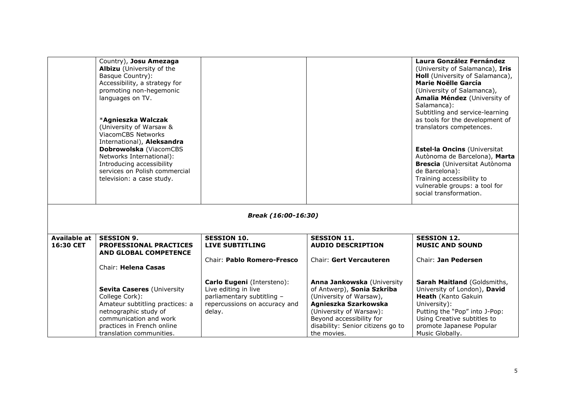|                                  | Country), Josu Amezaga<br>Albizu (University of the<br>Basque Country):<br>Accessibility, a strategy for<br>promoting non-hegemonic<br>languages on TV.<br>*Agnieszka Walczak<br>(University of Warsaw &<br>ViacomCBS Networks<br>International), Aleksandra<br>Dobrowolska (ViacomCBS<br>Networks International):<br>Introducing accessibility<br>services on Polish commercial |                                                                                                                             |                                                                                                                                                                                                                        | <b>Laura González Fernández</b><br>(University of Salamanca), Iris<br>Holl (University of Salamanca),<br><b>Marie Noëlle García</b><br>(University of Salamanca),<br>Amalia Méndez (University of<br>Salamanca):<br>Subtitling and service-learning<br>as tools for the development of<br>translators competences.<br>Estel·la Oncins (Universitat<br>Autònoma de Barcelona), Marta<br><b>Brescia</b> (Universitat Autònoma<br>de Barcelona): |
|----------------------------------|----------------------------------------------------------------------------------------------------------------------------------------------------------------------------------------------------------------------------------------------------------------------------------------------------------------------------------------------------------------------------------|-----------------------------------------------------------------------------------------------------------------------------|------------------------------------------------------------------------------------------------------------------------------------------------------------------------------------------------------------------------|-----------------------------------------------------------------------------------------------------------------------------------------------------------------------------------------------------------------------------------------------------------------------------------------------------------------------------------------------------------------------------------------------------------------------------------------------|
|                                  | television: a case study.                                                                                                                                                                                                                                                                                                                                                        |                                                                                                                             |                                                                                                                                                                                                                        | Training accessibility to<br>vulnerable groups: a tool for<br>social transformation.                                                                                                                                                                                                                                                                                                                                                          |
|                                  |                                                                                                                                                                                                                                                                                                                                                                                  | Break (16:00-16:30)                                                                                                         |                                                                                                                                                                                                                        |                                                                                                                                                                                                                                                                                                                                                                                                                                               |
| <b>Available at</b><br>16:30 CET | <b>SESSION 9.</b><br><b>PROFESSIONAL PRACTICES</b>                                                                                                                                                                                                                                                                                                                               | <b>SESSION 10.</b><br><b>LIVE SUBTITLING</b>                                                                                | <b>SESSION 11.</b><br><b>AUDIO DESCRIPTION</b>                                                                                                                                                                         | <b>SESSION 12.</b><br><b>MUSIC AND SOUND</b>                                                                                                                                                                                                                                                                                                                                                                                                  |
|                                  | <b>AND GLOBAL COMPETENCE</b>                                                                                                                                                                                                                                                                                                                                                     | Chair: Pablo Romero-Fresco                                                                                                  | Chair: Gert Vercauteren                                                                                                                                                                                                | Chair: Jan Pedersen                                                                                                                                                                                                                                                                                                                                                                                                                           |
|                                  | Chair: Helena Casas                                                                                                                                                                                                                                                                                                                                                              |                                                                                                                             |                                                                                                                                                                                                                        |                                                                                                                                                                                                                                                                                                                                                                                                                                               |
|                                  | Sevita Caseres (University<br>College Cork):<br>Amateur subtitling practices: a<br>netnographic study of<br>communication and work<br>practices in French online<br>translation communities.                                                                                                                                                                                     | Carlo Eugeni (Intersteno):<br>Live editing in live<br>parliamentary subtitling -<br>repercussions on accuracy and<br>delay. | Anna Jankowska (University<br>of Antwerp), Sonia Szkriba<br>(University of Warsaw),<br>Agnieszka Szarkowska<br>(University of Warsaw):<br>Beyond accessibility for<br>disability: Senior citizens go to<br>the movies. | Sarah Maitland (Goldsmiths,<br>University of London), David<br>Heath (Kanto Gakuin<br>University):<br>Putting the "Pop" into J-Pop:<br>Using Creative subtitles to<br>promote Japanese Popular<br>Music Globally.                                                                                                                                                                                                                             |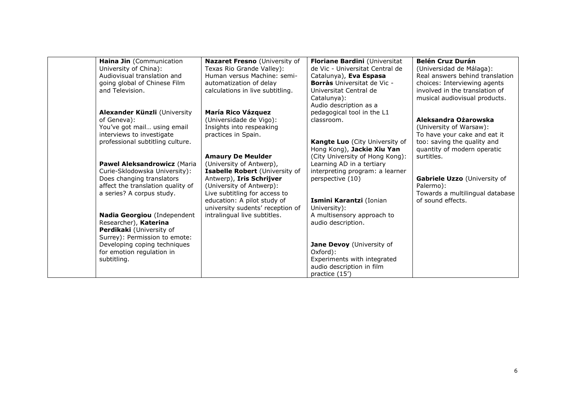| Haina Jin (Communication                                   | Nazaret Fresno (University of                              | Floriane Bardini (Universitat                       | <b>Belén Cruz Durán</b>         |
|------------------------------------------------------------|------------------------------------------------------------|-----------------------------------------------------|---------------------------------|
| University of China):                                      | Texas Rio Grande Valley):                                  | de Vic - Universitat Central de                     | (Universidad de Málaga):        |
| Audiovisual translation and                                | Human versus Machine: semi-                                | Catalunya), Eva Espasa                              | Real answers behind translation |
| going global of Chinese Film                               | automatization of delay                                    | <b>Borràs</b> Universitat de Vic -                  | choices: Interviewing agents    |
| and Television.                                            | calculations in live subtitling.                           | Universitat Central de                              | involved in the translation of  |
|                                                            |                                                            | Catalunya):                                         | musical audiovisual products.   |
|                                                            |                                                            | Audio description as a                              |                                 |
| Alexander Künzli (University                               | <b>María Rico Vázquez</b>                                  | pedagogical tool in the L1                          |                                 |
| of Geneva):                                                | (Universidade de Vigo):                                    | classroom.                                          | Aleksandra Ożarowska            |
| You've got mail using email                                | Insights into respeaking                                   |                                                     | (University of Warsaw):         |
| interviews to investigate                                  | practices in Spain.                                        |                                                     | To have your cake and eat it    |
| professional subtitling culture.                           |                                                            | Kangte Luo (City University of                      | too: saving the quality and     |
|                                                            |                                                            | Hong Kong), Jackie Xiu Yan                          | quantity of modern operatic     |
|                                                            | <b>Amaury De Meulder</b>                                   | (City University of Hong Kong):                     | surtitles.                      |
| Pawel Aleksandrowicz (Maria                                | (University of Antwerp),                                   | Learning AD in a tertiary                           |                                 |
| Curie-Sklodowska University):<br>Does changing translators | Isabelle Robert (University of<br>Antwerp), Iris Schrijver | interpreting program: a learner<br>perspective (10) | Gabriele Uzzo (University of    |
| affect the translation quality of                          | (University of Antwerp):                                   |                                                     | Palermo):                       |
| a series? A corpus study.                                  | Live subtitling for access to                              |                                                     | Towards a multilingual database |
|                                                            | education: A pilot study of                                | Ismini Karantzi (Ionian                             | of sound effects.               |
|                                                            | university sudents' reception of                           | University):                                        |                                 |
| Nadia Georgiou (Independent                                | intralingual live subtitles.                               | A multisensory approach to                          |                                 |
| Researcher), Katerina                                      |                                                            | audio description.                                  |                                 |
| Perdikaki (University of                                   |                                                            |                                                     |                                 |
| Surrey): Permission to emote:                              |                                                            |                                                     |                                 |
| Developing coping techniques                               |                                                            | Jane Devoy (University of                           |                                 |
| for emotion regulation in                                  |                                                            | Oxford):                                            |                                 |
| subtitling.                                                |                                                            | Experiments with integrated                         |                                 |
|                                                            |                                                            | audio description in film                           |                                 |
|                                                            |                                                            | practice (15')                                      |                                 |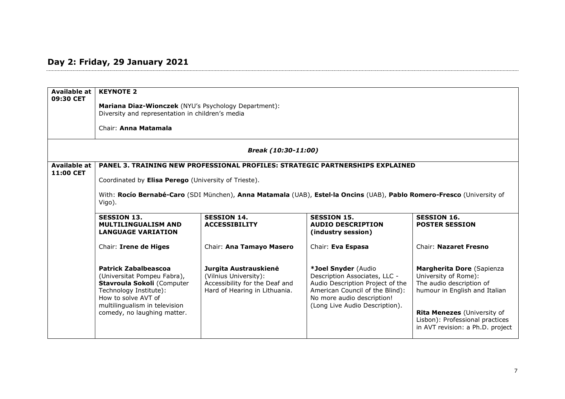## **Day 2: Friday, 29 January 2021**

| <b>Available at</b><br>09:30 CET | <b>KEYNOTE 2</b><br>Mariana Diaz-Wionczek (NYU's Psychology Department):<br>Diversity and representation in children's media                                                                                                                                              |                                                                                                                   |                                                                                                                                                                                             |                                                                                                                                                                                                                      |  |
|----------------------------------|---------------------------------------------------------------------------------------------------------------------------------------------------------------------------------------------------------------------------------------------------------------------------|-------------------------------------------------------------------------------------------------------------------|---------------------------------------------------------------------------------------------------------------------------------------------------------------------------------------------|----------------------------------------------------------------------------------------------------------------------------------------------------------------------------------------------------------------------|--|
|                                  | Chair: Anna Matamala                                                                                                                                                                                                                                                      |                                                                                                                   |                                                                                                                                                                                             |                                                                                                                                                                                                                      |  |
|                                  |                                                                                                                                                                                                                                                                           | Break (10:30-11:00)                                                                                               |                                                                                                                                                                                             |                                                                                                                                                                                                                      |  |
| <b>Available at</b><br>11:00 CET | PANEL 3. TRAINING NEW PROFESSIONAL PROFILES: STRATEGIC PARTNERSHIPS EXPLAINED<br>Coordinated by Elisa Perego (University of Trieste).<br>With: Rocío Bernabé-Caro (SDI München), Anna Matamala (UAB), Estel·la Oncins (UAB), Pablo Romero-Fresco (University of<br>Vigo). |                                                                                                                   |                                                                                                                                                                                             |                                                                                                                                                                                                                      |  |
|                                  | <b>SESSION 13.</b><br><b>SESSION 14.</b><br><b>SESSION 16.</b><br><b>SESSION 15.</b><br><b>MULTILINGUALISM AND</b><br><b>ACCESSIBILITY</b><br><b>AUDIO DESCRIPTION</b><br><b>POSTER SESSION</b><br><b>LANGUAGE VARIATION</b><br>(industry session)                        |                                                                                                                   |                                                                                                                                                                                             |                                                                                                                                                                                                                      |  |
|                                  | Chair: Irene de Higes                                                                                                                                                                                                                                                     | Chair: Ana Tamayo Masero                                                                                          | Chair: Eva Espasa                                                                                                                                                                           | Chair: Nazaret Fresno                                                                                                                                                                                                |  |
|                                  | <b>Patrick Zabalbeascoa</b><br>(Universitat Pompeu Fabra),<br>Stavroula Sokoli (Computer<br>Technology Institute):<br>How to solve AVT of<br>multilingualism in television<br>comedy, no laughing matter.                                                                 | Jurgita Austrauskienė<br>(Vilnius University):<br>Accessibility for the Deaf and<br>Hard of Hearing in Lithuania. | *Joel Snyder (Audio<br>Description Associates, LLC -<br>Audio Description Project of the<br>American Council of the Blind):<br>No more audio description!<br>(Long Live Audio Description). | Margherita Dore (Sapienza<br>University of Rome):<br>The audio description of<br>humour in English and Italian<br>Rita Menezes (University of<br>Lisbon): Professional practices<br>in AVT revision: a Ph.D. project |  |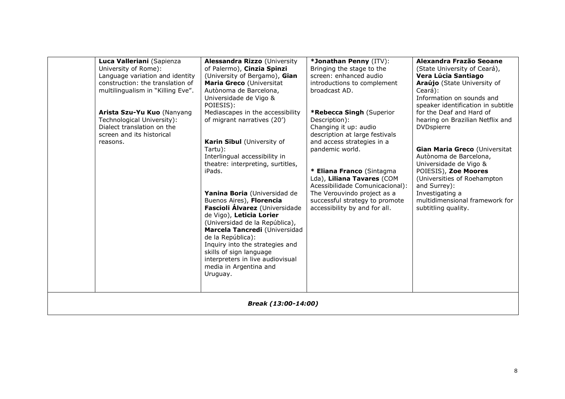|                     | Luca Valleriani (Sapienza<br>University of Rome):<br>Language variation and identity<br>construction: the translation of<br>multilingualism in "Killing Eve".<br>Arista Szu-Yu Kuo (Nanyang<br>Technological University):<br>Dialect translation on the<br>screen and its historical<br>reasons. | <b>Alessandra Rizzo (University</b><br>of Palermo), Cinzia Spinzi<br>(University of Bergamo), Gian<br>Maria Greco (Universitat<br>Autònoma de Barcelona,<br>Universidade de Vigo &<br>POIESIS):<br>Mediascapes in the accessibility<br>of migrant narratives (20')<br>Karin Sibul (University of<br>Tartu):<br>Interlingual accessibility in<br>theatre: interpreting, surtitles,<br>iPads.<br>Yanina Boria (Universidad de<br>Buenos Aires), Florencia<br>Fascioli Álvarez (Universidade<br>de Vigo), Leticia Lorier<br>(Universidad de la República),<br>Marcela Tancredi (Universidad<br>de la República):<br>Inquiry into the strategies and<br>skills of sign language<br>interpreters in live audiovisual<br>media in Argentina and<br>Uruguay. | *Jonathan Penny (ITV):<br>Bringing the stage to the<br>screen: enhanced audio<br>introductions to complement<br>broadcast AD.<br>*Rebecca Singh (Superior<br>Description):<br>Changing it up: audio<br>description at large festivals<br>and access strategies in a<br>pandemic world.<br>* Eliana Franco (Sintagma<br>Lda), Liliana Tavares (COM<br>Acessibilidade Comunicacional):<br>The Verouvindo project as a<br>successful strategy to promote<br>accessibility by and for all. | Alexandra Frazão Seoane<br>(State University of Ceará),<br>Vera Lúcia Santiago<br>Araújo (State University of<br>Ceará):<br>Information on sounds and<br>speaker identification in subtitle<br>for the Deaf and Hard of<br>hearing on Brazilian Netflix and<br><b>DVDspierre</b><br>Gian Maria Greco (Universitat<br>Autònoma de Barcelona,<br>Universidade de Vigo &<br>POIESIS), Zoe Moores<br>(Universities of Roehampton<br>and Surrey):<br>Investigating a<br>multidimensional framework for<br>subtitling quality. |
|---------------------|--------------------------------------------------------------------------------------------------------------------------------------------------------------------------------------------------------------------------------------------------------------------------------------------------|-------------------------------------------------------------------------------------------------------------------------------------------------------------------------------------------------------------------------------------------------------------------------------------------------------------------------------------------------------------------------------------------------------------------------------------------------------------------------------------------------------------------------------------------------------------------------------------------------------------------------------------------------------------------------------------------------------------------------------------------------------|----------------------------------------------------------------------------------------------------------------------------------------------------------------------------------------------------------------------------------------------------------------------------------------------------------------------------------------------------------------------------------------------------------------------------------------------------------------------------------------|--------------------------------------------------------------------------------------------------------------------------------------------------------------------------------------------------------------------------------------------------------------------------------------------------------------------------------------------------------------------------------------------------------------------------------------------------------------------------------------------------------------------------|
| Break (13:00-14:00) |                                                                                                                                                                                                                                                                                                  |                                                                                                                                                                                                                                                                                                                                                                                                                                                                                                                                                                                                                                                                                                                                                       |                                                                                                                                                                                                                                                                                                                                                                                                                                                                                        |                                                                                                                                                                                                                                                                                                                                                                                                                                                                                                                          |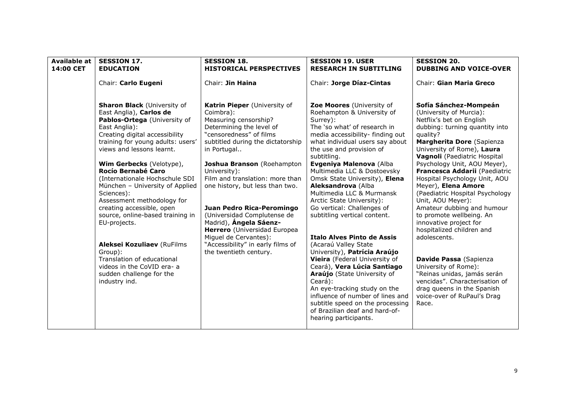| <b>Available at</b> | <b>SESSION 17.</b>                                                                                                                                                                                                                             | <b>SESSION 18.</b>                                                                                                                                                                                          | <b>SESSION 19. USER</b>                                                                                                                                                                                                                                                                                                                                                | <b>SESSION 20.</b>                                                                                                                                                                                                                                             |
|---------------------|------------------------------------------------------------------------------------------------------------------------------------------------------------------------------------------------------------------------------------------------|-------------------------------------------------------------------------------------------------------------------------------------------------------------------------------------------------------------|------------------------------------------------------------------------------------------------------------------------------------------------------------------------------------------------------------------------------------------------------------------------------------------------------------------------------------------------------------------------|----------------------------------------------------------------------------------------------------------------------------------------------------------------------------------------------------------------------------------------------------------------|
| 14:00 CET           | <b>EDUCATION</b>                                                                                                                                                                                                                               | <b>HISTORICAL PERSPECTIVES</b>                                                                                                                                                                              | <b>RESEARCH IN SUBTITLING</b>                                                                                                                                                                                                                                                                                                                                          | <b>DUBBING AND VOICE-OVER</b>                                                                                                                                                                                                                                  |
|                     | Chair: Carlo Eugeni                                                                                                                                                                                                                            | Chair: Jin Haina                                                                                                                                                                                            | Chair: Jorge Díaz-Cintas                                                                                                                                                                                                                                                                                                                                               | Chair: Gian Maria Greco                                                                                                                                                                                                                                        |
|                     | <b>Sharon Black (University of</b><br>East Anglia), Carlos de<br>Pablos-Ortega (University of<br>East Anglia):<br>Creating digital accessibility<br>training for young adults: users'<br>views and lessons learnt.<br>Wim Gerbecks (Velotype), | Katrin Pieper (University of<br>Coimbra):<br>Measuring censorship?<br>Determining the level of<br>"censoredness" of films<br>subtitled during the dictatorship<br>in Portugal<br>Joshua Branson (Roehampton | Zoe Moores (University of<br>Roehampton & University of<br>Surrey):<br>The 'so what' of research in<br>media accessibility- finding out<br>what individual users say about<br>the use and provision of<br>subtitling.<br>Evgeniya Malenova (Alba                                                                                                                       | Sofía Sánchez-Mompeán<br>(University of Murcia):<br>Netflix's bet on English<br>dubbing: turning quantity into<br>quality?<br>Margherita Dore (Sapienza<br>University of Rome), Laura<br>Vagnoli (Paediatric Hospital<br>Psychology Unit, AOU Meyer),          |
|                     | <b>Rocío Bernabé Caro</b><br>(Internationale Hochschule SDI<br>München - University of Applied<br>Sciences):<br>Assessment methodology for<br>creating accessible, open<br>source, online-based training in<br>EU-projects.                    | University):<br>Film and translation: more than<br>one history, but less than two.<br>Juan Pedro Rica-Peromingo<br>(Universidad Complutense de<br>Madrid), Ángela Sáenz-<br>Herrero (Universidad Europea    | Multimedia LLC & Dostoevsky<br>Omsk State University), Elena<br>Aleksandrova (Alba<br>Multimedia LLC & Murmansk<br>Arctic State University):<br>Go vertical: Challenges of<br>subtitling vertical content.                                                                                                                                                             | Francesca Addarii (Paediatric<br>Hospital Psychology Unit, AOU<br>Meyer), Elena Amore<br>(Paediatric Hospital Psychology<br>Unit, AOU Meyer):<br>Amateur dubbing and humour<br>to promote wellbeing. An<br>innovative project for<br>hospitalized children and |
|                     | Aleksei Kozuliaev (RuFilms<br>Group):<br>Translation of educational<br>videos in the CoVID era- a<br>sudden challenge for the<br>industry ind.                                                                                                 | Miguel de Cervantes):<br>"Accessibility" in early films of<br>the twentieth century.                                                                                                                        | <b>Italo Alves Pinto de Assis</b><br>(Acaraú Valley State<br>University), Patrícia Araújo<br>Vieira (Federal University of<br>Ceará), Vera Lúcia Santiago<br>Araújo (State University of<br>Ceará):<br>An eye-tracking study on the<br>influence of number of lines and<br>subtitle speed on the processing<br>of Brazilian deaf and hard-of-<br>hearing participants. | adolescents.<br>Davide Passa (Sapienza<br>University of Rome):<br>"Reinas unidas, jamás serán<br>vencidas". Characterisation of<br>drag queens in the Spanish<br>voice-over of RuPaul's Drag<br>Race.                                                          |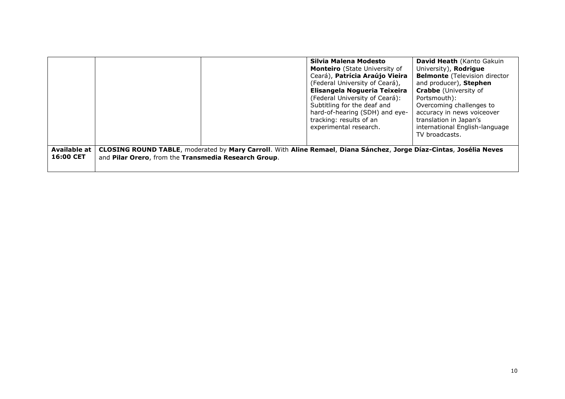|                           |                                                      |                                                                                                                    | Silvia Malena Modesto<br>Monteiro (State University of<br>Ceará), Patrícia Araújo Vieira<br>(Federal University of Ceará),<br>Elisangela Nogueria Teixeira<br>(Federal University of Ceará):<br>Subtitling for the deaf and<br>hard-of-hearing (SDH) and eye-<br>tracking: results of an<br>experimental research. | <b>David Heath</b> (Kanto Gakuin<br>University), Rodrigue<br><b>Belmonte</b> (Television director<br>and producer), Stephen<br><b>Crabbe</b> (University of<br>Portsmouth):<br>Overcoming challenges to<br>accuracy in news voiceover<br>translation in Japan's<br>international English-language<br>TV broadcasts. |
|---------------------------|------------------------------------------------------|--------------------------------------------------------------------------------------------------------------------|--------------------------------------------------------------------------------------------------------------------------------------------------------------------------------------------------------------------------------------------------------------------------------------------------------------------|---------------------------------------------------------------------------------------------------------------------------------------------------------------------------------------------------------------------------------------------------------------------------------------------------------------------|
| Available at<br>16:00 CET | and Pilar Orero, from the Transmedia Research Group. | CLOSING ROUND TABLE, moderated by Mary Carroll. With Aline Remael, Diana Sánchez, Jorge Díaz-Cintas, Josélia Neves |                                                                                                                                                                                                                                                                                                                    |                                                                                                                                                                                                                                                                                                                     |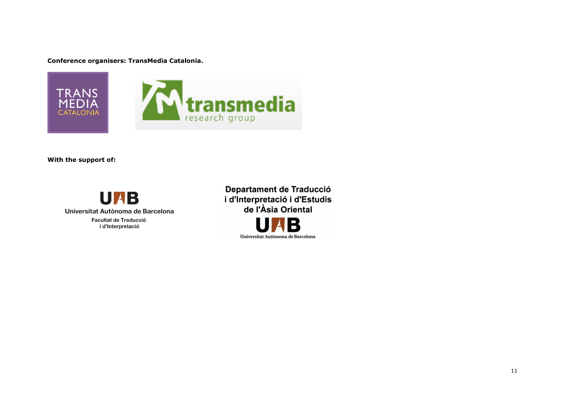**Conference organisers: TransMedia Catalonia.**



**With the support of:**



Departament de Traducció i d'Interpretació i d'Estudis de l'Àsia Oriental  $\blacksquare$ Universitat Autònoma de Barcelona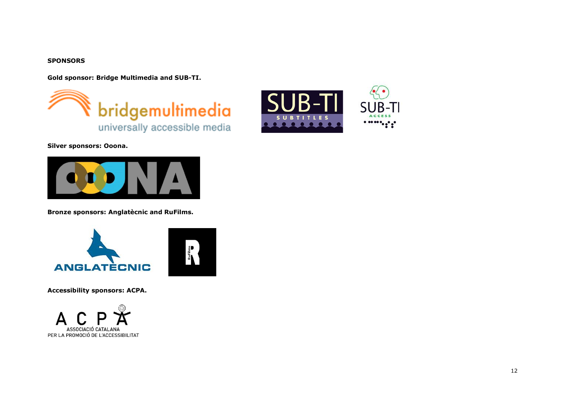#### **SPONSORS**

**Gold sponsor: Bridge Multimedia and SUB-TI.**





**Silver sponsors: Ooona.**



**Bronze sponsors: Anglatècnic and RuFilms.**





**Accessibility sponsors: ACPA.**